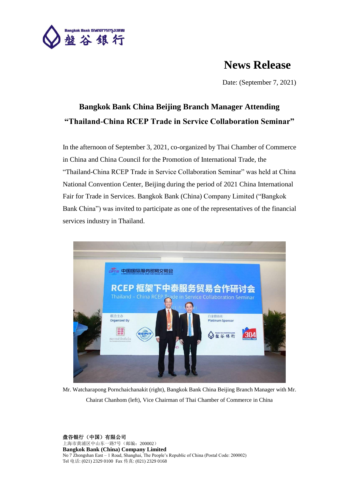

## **News Release**

Date: (September 7, 2021)

## **Bangkok Bank China Beijing Branch Manager Attending "Thailand-China RCEP Trade in Service Collaboration Seminar"**

In the afternoon of September 3, 2021, co-organized by Thai Chamber of Commerce in China and China Council for the Promotion of International Trade, the "Thailand-China RCEP Trade in Service Collaboration Seminar" was held at China National Convention Center, Beijing during the period of 2021 China International Fair for Trade in Services. Bangkok Bank (China) Company Limited ("Bangkok Bank China") was invited to participate as one of the representatives of the financial services industry in Thailand.



Mr. Watcharapong Pornchaichanakit (right), Bangkok Bank China Beijing Branch Manager with Mr. Chairat Chanhom (left), Vice Chairman of Thai Chamber of Commerce in China

盘谷银行(中国)有限公司 上海市黄浦区中山东一路7号(邮编:200002) **Bangkok Bank (China) Company Limited** No 7 Zhongshan East – 1 Road, Shanghai, The People's Republic of China (Postal Code: 200002) Tel 电话: (021) 2329 0100 Fax 传真: (021) 2329 0168